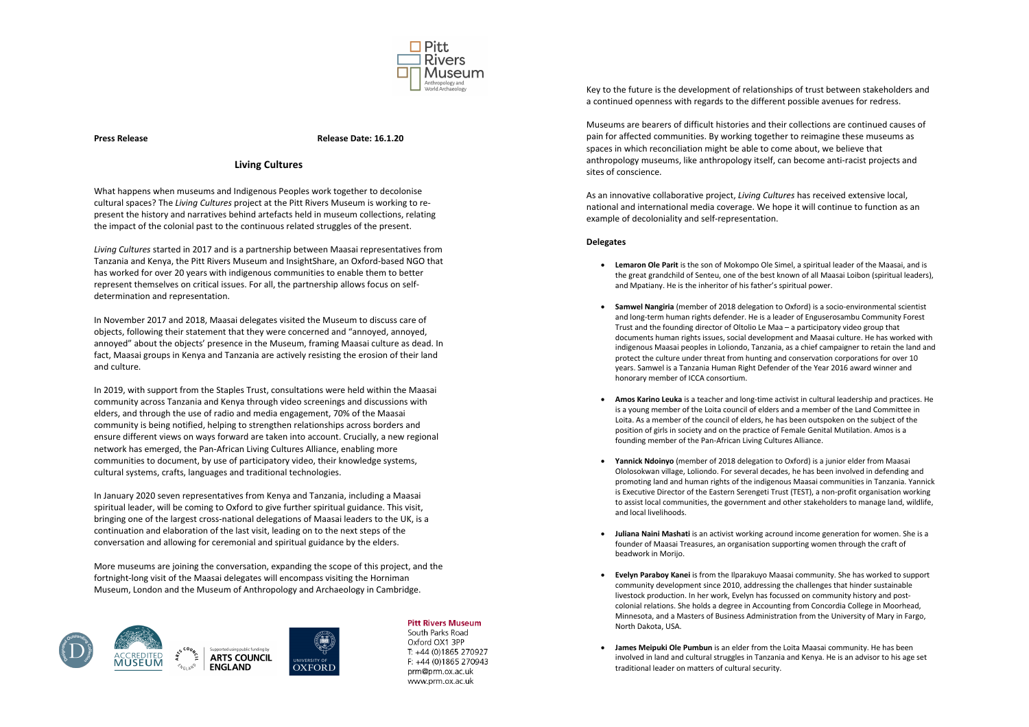

**Press Release Release Date: 16.1.20**

## **Living Cultures**

What happens when museums and Indigenous Peoples work together to decolonise cultural spaces? The *Living Cultures* project at the Pitt Rivers Museum is working to represent the history and narratives behind artefacts held in museum collections, relating the impact of the colonial past to the continuous related struggles of the present.

*Living Cultures* started in 2017 and is a partnership between Maasai representatives from Tanzania and Kenya, the Pitt Rivers Museum and InsightShare, an Oxford-based NGO that has worked for over 20 years with indigenous communities to enable them to better represent themselves on critical issues. For all, the partnership allows focus on selfdetermination and representation.

In November 2017 and 2018, Maasai delegates visited the Museum to discuss care of objects, following their statement that they were concerned and "annoyed, annoyed, annoyed" about the objects' presence in the Museum, framing Maasai culture as dead. In fact, Maasai groups in Kenya and Tanzania are actively resisting the erosion of their land and culture.

In 2019, with support from the Staples Trust, consultations were held within the Maasai community across Tanzania and Kenya through video screenings and discussions with elders, and through the use of radio and media engagement, 70% of the Maasai community is being notified, helping to strengthen relationships across borders and ensure different views on ways forward are taken into account. Crucially, a new regional network has emerged, the Pan-African Living Cultures Alliance, enabling more communities to document, by use of participatory video, their knowledge systems, cultural systems, crafts, languages and traditional technologies.

In January 2020 seven representatives from Kenya and Tanzania, including a Maasai spiritual leader, will be coming to Oxford to give further spiritual guidance. This visit, bringing one of the largest cross-national delegations of Maasai leaders to the UK, is a continuation and elaboration of the last visit, leading on to the next steps of the conversation and allowing for ceremonial and spiritual guidance by the elders.

More museums are joining the conversation, expanding the scope of this project, and the fortnight-long visit of the Maasai delegates will encompass visiting the Horniman Museum, London and the Museum of Anthropology and Archaeology in Cambridge.



## **Pitt Rivers Museum**

South Parks Road Oxford OX1 3PP T: +44 (0)1865 270927 F: +44 (0)1865 270943 prm@prm.ox.ac.uk www.prm.ox.ac.uk

Key to the future is the development of relationships of trust between stakeholders and a continued openness with regards to the different possible avenues for redress.

Museums are bearers of difficult histories and their collections are continued causes of pain for affected communities. By working together to reimagine these museums as spaces in which reconciliation might be able to come about, we believe that anthropology museums, like anthropology itself, can become anti-racist projects and sites of conscience.

As an innovative collaborative project, *Living Cultures* has received extensive local, national and international media coverage. We hope it will continue to function as an example of decoloniality and self-representation.

## **Delegates**

- **Lemaron Ole Parit** is the son of Mokompo Ole Simel, a spiritual leader of the Maasai, and is the great grandchild of Senteu, one of the best known of all Maasai Loibon (spiritual leaders), and Mpatiany. He is the inheritor of his father's spiritual power.
- **Samwel Nangiria** (member of 2018 delegation to Oxford) is a socio-environmental scientist and long-term human rights defender. He is a leader of Enguserosambu Community Forest Trust and the founding director of Oltolio Le Maa – a participatory video group that documents human rights issues, social development and Maasai culture. He has worked with indigenous Maasai peoples in Loliondo, Tanzania, as a chief campaigner to retain the land and protect the culture under threat from hunting and conservation corporations for over 10 years. Samwel is a Tanzania Human Right Defender of the Year 2016 award winner and honorary member of ICCA consortium.
- **Amos Karino Leuka** is a teacher and long-time activist in cultural leadership and practices. He is a young member of the Loita council of elders and a member of the Land Committee in Loita. As a member of the council of elders, he has been outspoken on the subject of the position of girls in society and on the practice of Female Genital Mutilation. Amos is a founding member of the Pan-African Living Cultures Alliance.
- **Yannick Ndoinyo** (member of 2018 delegation to Oxford) is a junior elder from Maasai Ololosokwan village, Loliondo. For several decades, he has been involved in defending and promoting land and human rights of the indigenous Maasai communities in Tanzania. Yannick is Executive Director of the Eastern Serengeti Trust (TEST), a non-profit organisation working to assist local communities, the government and other stakeholders to manage land, wildlife, and local livelihoods.
- **Juliana Naini Mashati** is an activist working acround income generation for women. She is a founder of Maasai Treasures, an organisation supporting women through the craft of beadwork in Morijo.
- **Evelyn Paraboy Kanei** is from the Ilparakuyo Maasai community. She has worked to support community development since 2010, addressing the challenges that hinder sustainable livestock production. In her work, Evelyn has focussed on community history and postcolonial relations. She holds a degree in Accounting from Concordia College in Moorhead, Minnesota, and a Masters of Business Administration from the University of Mary in Fargo, North Dakota, USA.
- **James Meipuki Ole Pumbun** is an elder from the Loita Maasai community. He has been involved in land and cultural struggles in Tanzania and Kenya. He is an advisor to his age set traditional leader on matters of cultural security.